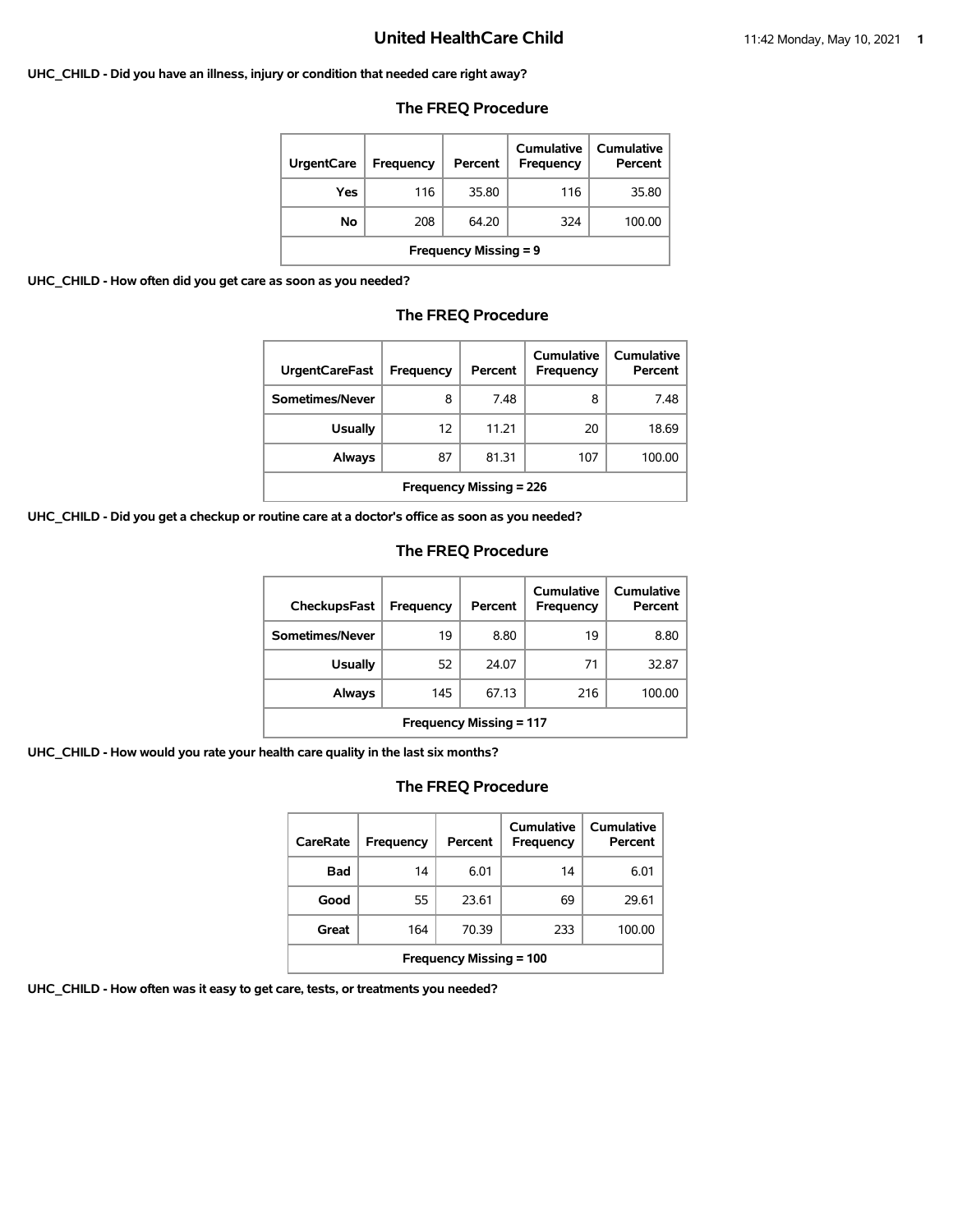#### **UHC\_CHILD - Did you have an illness, injury or condition that needed care right away?**

### **The FREQ Procedure**

| <b>UrgentCare</b>            | <b>Frequency</b> | Percent | Cumulative<br>Frequency | Cumulative<br>Percent |  |
|------------------------------|------------------|---------|-------------------------|-----------------------|--|
| Yes                          | 116              | 35.80   | 116                     | 35.80                 |  |
| Νo                           | 208              | 64.20   | 324                     | 100.00                |  |
| <b>Frequency Missing = 9</b> |                  |         |                         |                       |  |

**UHC\_CHILD - How often did you get care as soon as you needed?**

### **The FREQ Procedure**

| <b>UrgentCareFast</b>          | <b>Frequency</b> | Percent | Cumulative<br><b>Frequency</b> | Cumulative<br>Percent |  |
|--------------------------------|------------------|---------|--------------------------------|-----------------------|--|
| Sometimes/Never                | 8                | 7.48    | 8                              | 7.48                  |  |
| <b>Usually</b>                 | 12               | 11.21   | 20                             | 18.69                 |  |
| Always                         | 87               | 81.31   | 107                            | 100.00                |  |
| <b>Frequency Missing = 226</b> |                  |         |                                |                       |  |

**UHC\_CHILD - Did you get a checkup or routine care at a doctor's office as soon as you needed?**

### **The FREQ Procedure**

| <b>CheckupsFast</b>            | Frequency | Percent | Cumulative<br>Frequency | Cumulative<br>Percent |  |
|--------------------------------|-----------|---------|-------------------------|-----------------------|--|
| Sometimes/Never                | 19        | 8.80    | 19                      | 8.80                  |  |
| <b>Usually</b>                 | 52        | 24.07   | 71                      | 32.87                 |  |
| Always                         | 145       | 67.13   | 216                     | 100.00                |  |
| <b>Frequency Missing = 117</b> |           |         |                         |                       |  |

**UHC\_CHILD - How would you rate your health care quality in the last six months?**

# **The FREQ Procedure**

| CareRate                       | Frequency | Percent | Cumulative<br><b>Frequency</b> | Cumulative<br>Percent |  |
|--------------------------------|-----------|---------|--------------------------------|-----------------------|--|
| Bad                            | 14        | 6.01    | 14                             | 6.01                  |  |
| Good                           | 55        | 23.61   | 69                             | 29.61                 |  |
| Great                          | 164       | 70.39   | 233                            | 100.00                |  |
| <b>Frequency Missing = 100</b> |           |         |                                |                       |  |

**UHC\_CHILD - How often was it easy to get care, tests, or treatments you needed?**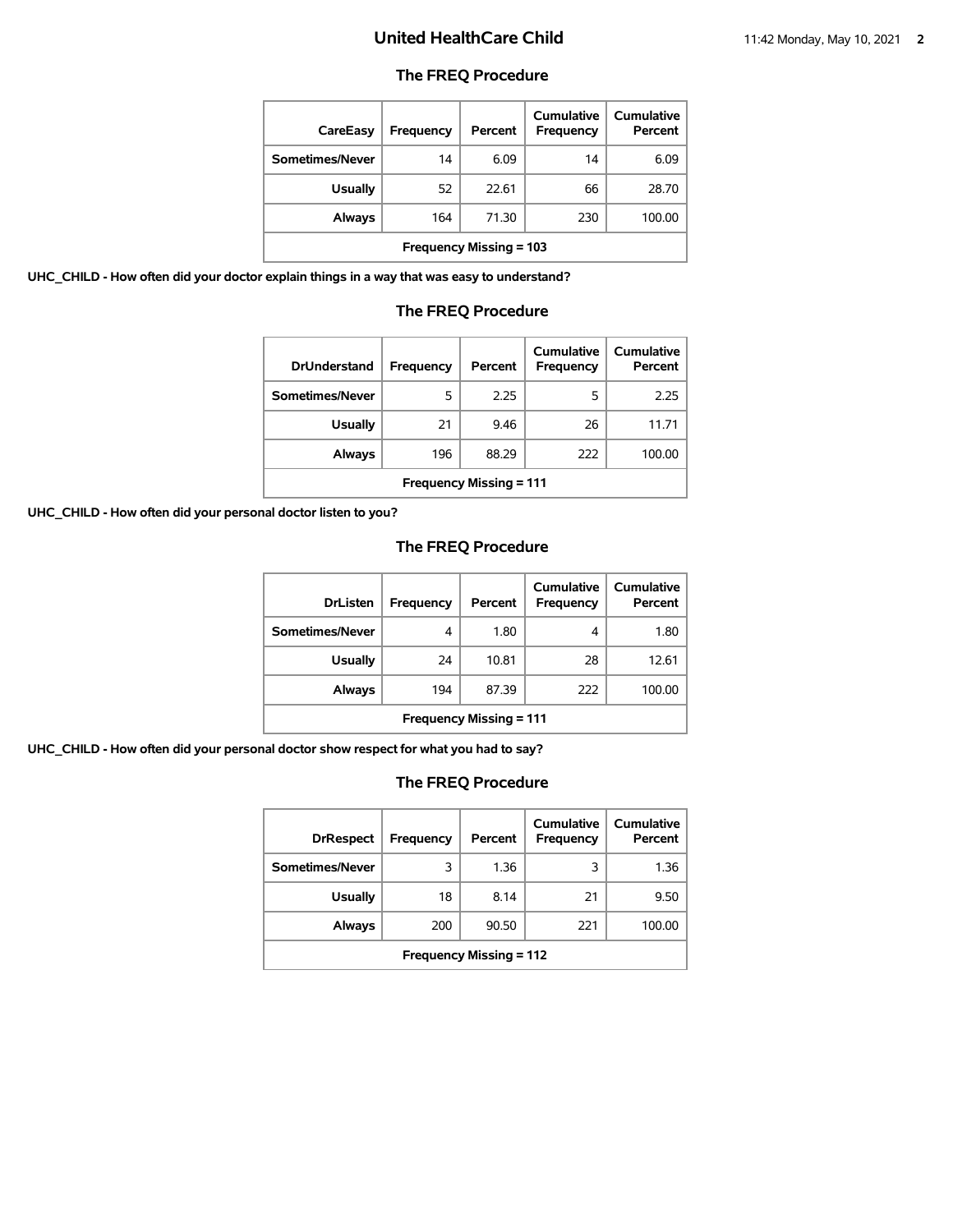## **The FREQ Procedure**

| CareEasy                       | <b>Frequency</b> | Percent | Cumulative<br><b>Frequency</b> | <b>Cumulative</b><br>Percent |  |
|--------------------------------|------------------|---------|--------------------------------|------------------------------|--|
| Sometimes/Never                | 14               | 6.09    | 14                             | 6.09                         |  |
| <b>Usually</b>                 | 52               | 22.61   | 66                             | 28.70                        |  |
| Always                         | 164              | 71.30   | 230                            | 100.00                       |  |
| <b>Frequency Missing = 103</b> |                  |         |                                |                              |  |

**UHC\_CHILD - How often did your doctor explain things in a way that was easy to understand?**

### **The FREQ Procedure**

| <b>DrUnderstand</b>            | Frequency | Percent | Cumulative<br>Frequency | Cumulative<br>Percent |  |
|--------------------------------|-----------|---------|-------------------------|-----------------------|--|
| Sometimes/Never                | 5         | 2.25    | 5                       | 2.25                  |  |
| <b>Usually</b>                 | 21        | 9.46    | 26                      | 11.71                 |  |
| Always                         | 196       | 88.29   | 222                     | 100.00                |  |
| <b>Frequency Missing = 111</b> |           |         |                         |                       |  |

**UHC\_CHILD - How often did your personal doctor listen to you?**

# **The FREQ Procedure**

| <b>DrListen</b>                | Frequency | Percent | Cumulative<br><b>Frequency</b> | Cumulative<br>Percent |  |
|--------------------------------|-----------|---------|--------------------------------|-----------------------|--|
| Sometimes/Never                | 4         | 1.80    | 4                              | 1.80                  |  |
| <b>Usually</b>                 | 24        | 10.81   | 28                             | 12.61                 |  |
| Always                         | 194       | 87.39   | 222                            | 100.00                |  |
| <b>Frequency Missing = 111</b> |           |         |                                |                       |  |

**UHC\_CHILD - How often did your personal doctor show respect for what you had to say?**

| <b>DrRespect</b>               | Frequency | Percent | Cumulative<br>Frequency | <b>Cumulative</b><br>Percent |  |
|--------------------------------|-----------|---------|-------------------------|------------------------------|--|
| Sometimes/Never                | 3         | 1.36    | 3                       | 1.36                         |  |
| <b>Usually</b>                 | 18        | 8.14    | 21                      | 9.50                         |  |
| Always                         | 200       | 90.50   | 221                     | 100.00                       |  |
| <b>Frequency Missing = 112</b> |           |         |                         |                              |  |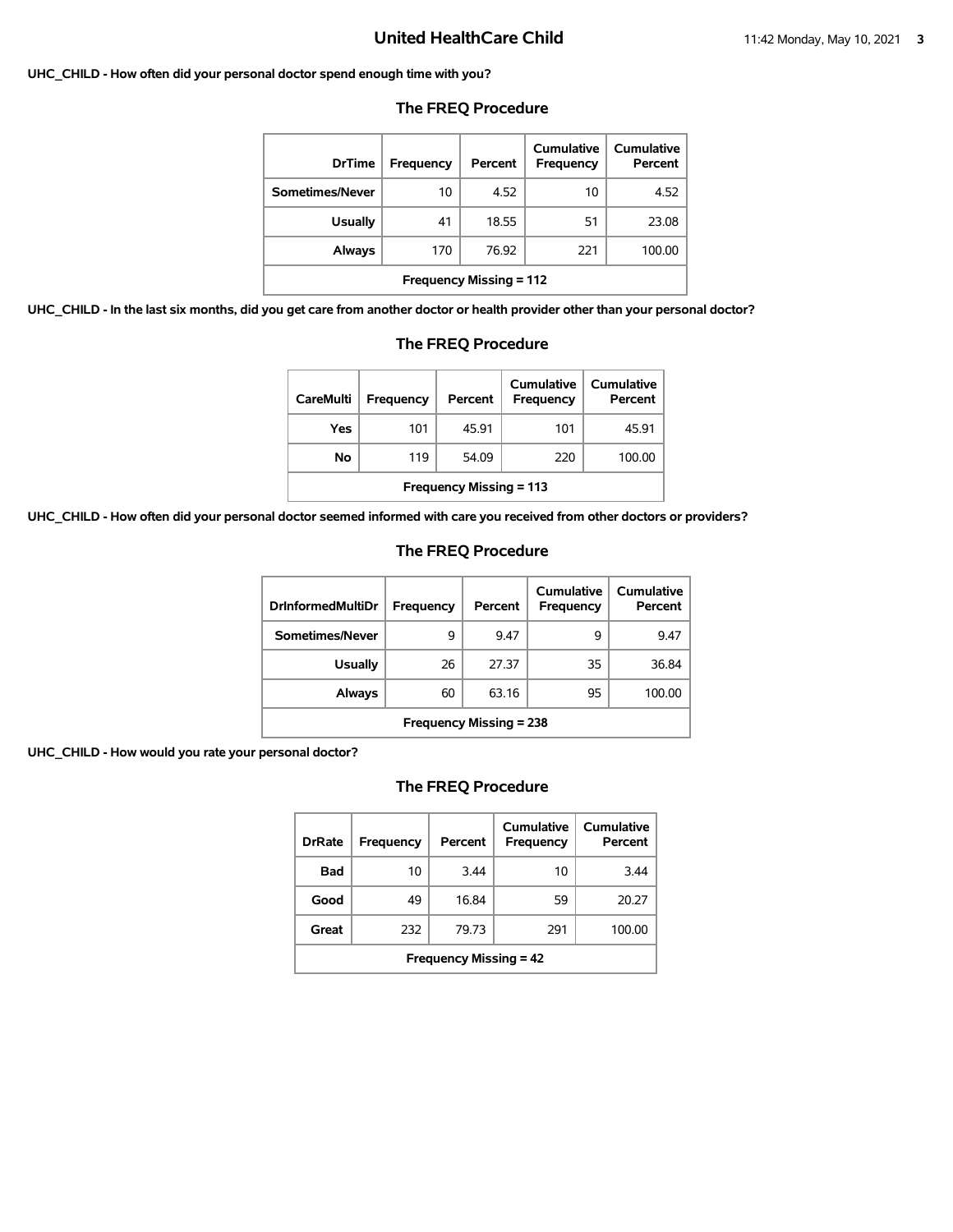#### **UHC\_CHILD - How often did your personal doctor spend enough time with you?**

| <b>DrTime</b>                  | Frequency | Percent | Cumulative<br>Frequency | <b>Cumulative</b><br>Percent |  |
|--------------------------------|-----------|---------|-------------------------|------------------------------|--|
| Sometimes/Never                | 10        | 4.52    | 10                      | 4.52                         |  |
| <b>Usually</b>                 | 41        | 18.55   | 51                      | 23.08                        |  |
| Always                         | 170       | 76.92   | 221                     | 100.00                       |  |
| <b>Frequency Missing = 112</b> |           |         |                         |                              |  |

### **The FREQ Procedure**

**UHC\_CHILD - In the last six months, did you get care from another doctor or health provider other than your personal doctor?**

| get care from another doctor or health provider other than your pe                                  |     |       |     |        |  |
|-----------------------------------------------------------------------------------------------------|-----|-------|-----|--------|--|
| <b>The FREQ Procedure</b>                                                                           |     |       |     |        |  |
| Cumulative<br>Cumulative<br><b>CareMulti</b><br>Percent<br>Frequency<br>Percent<br><b>Frequency</b> |     |       |     |        |  |
| Yes                                                                                                 | 101 | 45.91 | 101 | 45.91  |  |
| No                                                                                                  | 119 | 54.09 | 220 | 100.00 |  |

| UHC_CHILD - How often did your personal doctor seemed informed with care you received from other doctors or providers? |
|------------------------------------------------------------------------------------------------------------------------|
|------------------------------------------------------------------------------------------------------------------------|

# **The FREQ Procedure**

**Frequency Missing = 113**

| <b>DrInformedMultiDr</b>       | <b>Frequency</b> | Percent | Cumulative<br>Frequency | Cumulative<br>Percent |  |
|--------------------------------|------------------|---------|-------------------------|-----------------------|--|
| Sometimes/Never                | 9                | 9.47    | 9                       | 9.47                  |  |
| Usually                        | 26               | 27.37   | 35                      | 36.84                 |  |
| Always                         | 60               | 63.16   | 95                      | 100.00                |  |
| <b>Frequency Missing = 238</b> |                  |         |                         |                       |  |

**UHC\_CHILD - How would you rate your personal doctor?**

| <b>DrRate</b>                 | Frequency | Percent | Cumulative<br>Frequency | Cumulative<br>Percent |  |
|-------------------------------|-----------|---------|-------------------------|-----------------------|--|
| Bad                           | 10        | 3.44    | 10                      | 344                   |  |
| Good                          | 49        | 16.84   | 59                      | 20.27                 |  |
| Great                         | 232       | 79.73   | 291                     | 100.00                |  |
| <b>Frequency Missing = 42</b> |           |         |                         |                       |  |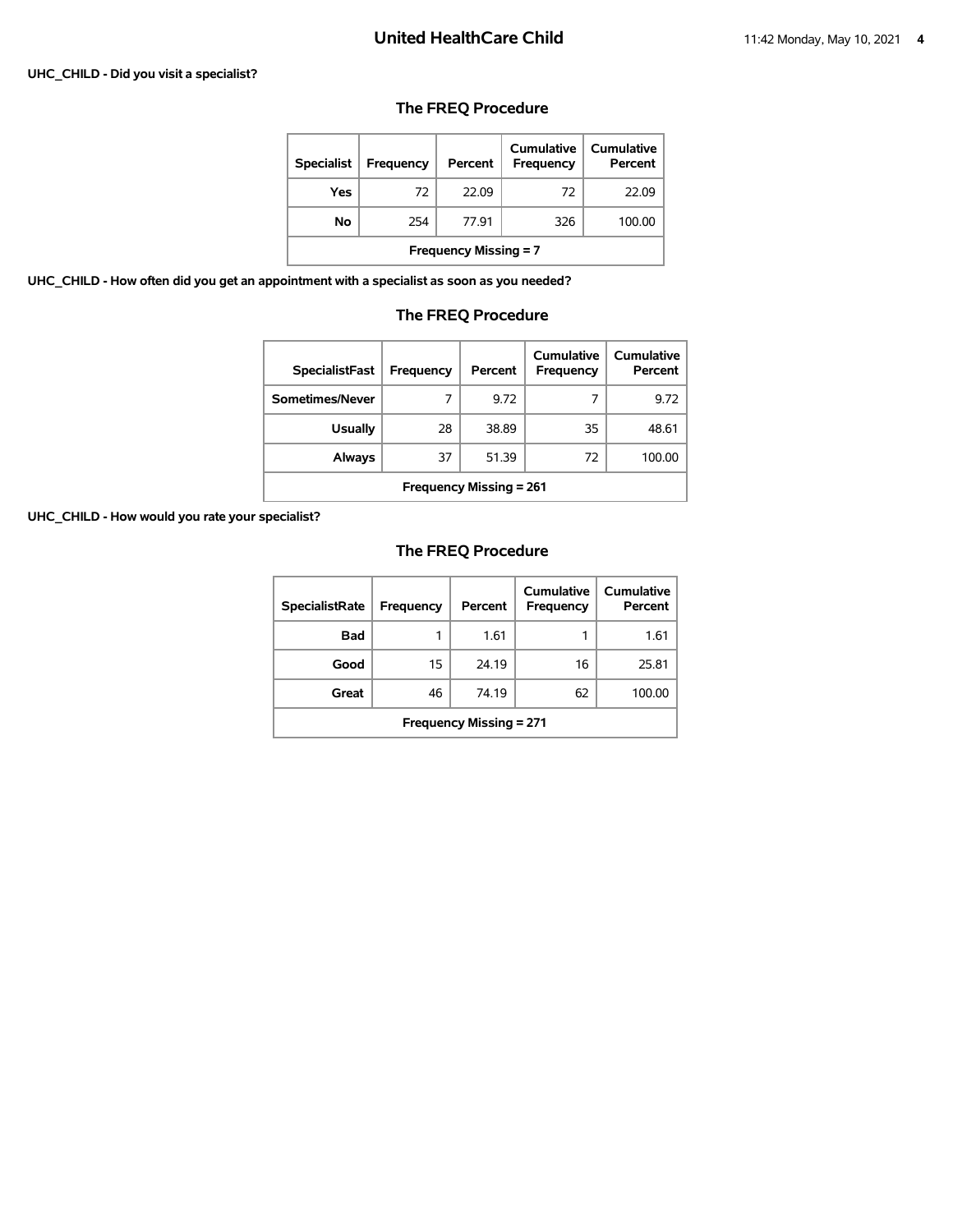#### **UHC\_CHILD - Did you visit a specialist?**

## **The FREQ Procedure**

| <b>Specialist</b>            | Frequency | Percent | Cumulative<br><b>Frequency</b> | Cumulative<br>Percent |  |
|------------------------------|-----------|---------|--------------------------------|-----------------------|--|
| Yes                          | 72        | 22.09   | 72                             | 22.09                 |  |
| No                           | 254       | 77.91   | 326                            | 100.00                |  |
| <b>Frequency Missing = 7</b> |           |         |                                |                       |  |

**UHC\_CHILD - How often did you get an appointment with a specialist as soon as you needed?**

## **The FREQ Procedure**

| <b>SpecialistFast</b>          | Frequency | Percent | Cumulative<br>Frequency | Cumulative<br>Percent |  |  |
|--------------------------------|-----------|---------|-------------------------|-----------------------|--|--|
| Sometimes/Never                |           | 9.72    |                         | 9.72                  |  |  |
| <b>Usually</b>                 | 28        | 38.89   | 35                      | 48.61                 |  |  |
| Always                         | 37        | 51.39   | 72                      | 100.00                |  |  |
| <b>Frequency Missing = 261</b> |           |         |                         |                       |  |  |

**UHC\_CHILD - How would you rate your specialist?**

| <b>SpecialistRate</b>          | <b>Frequency</b> | Percent | Cumulative<br>Frequency | <b>Cumulative</b><br>Percent |  |
|--------------------------------|------------------|---------|-------------------------|------------------------------|--|
| <b>Bad</b>                     | 1                | 1.61    | 1                       | 1.61                         |  |
| Good                           | 15               | 24.19   | 16                      | 25.81                        |  |
| Great                          | 46               | 74.19   | 62                      | 100.00                       |  |
| <b>Frequency Missing = 271</b> |                  |         |                         |                              |  |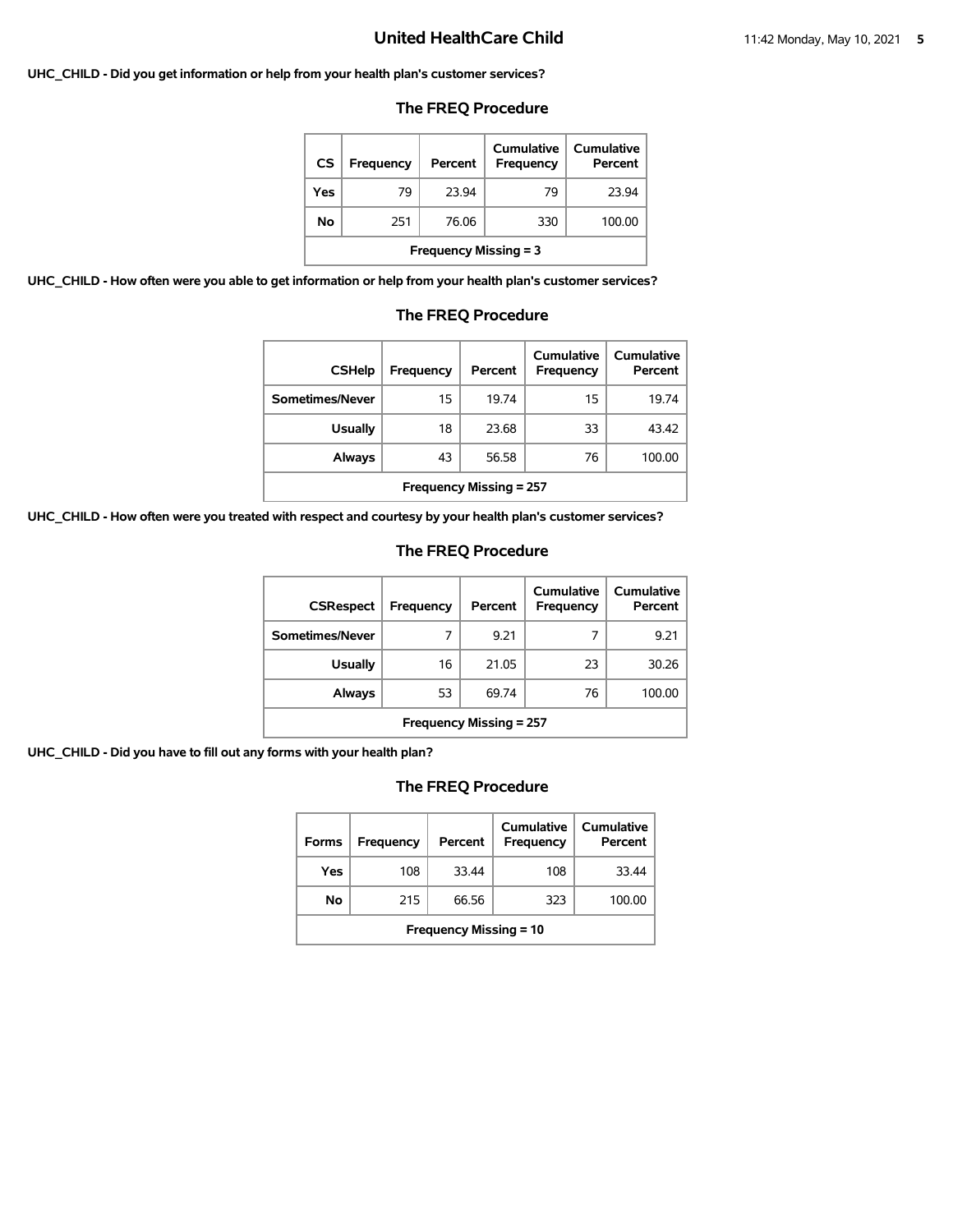#### **UHC\_CHILD - Did you get information or help from your health plan's customer services?**

### **The FREQ Procedure**

| <b>CS</b>                    | Frequency | Percent | Cumulative<br>Frequency | Cumulative<br>Percent |  |
|------------------------------|-----------|---------|-------------------------|-----------------------|--|
| Yes                          | 79        | 23.94   | 79                      | 23.94                 |  |
| No                           | 251       | 76.06   | 330                     | 100.00                |  |
| <b>Frequency Missing = 3</b> |           |         |                         |                       |  |

**UHC\_CHILD - How often were you able to get information or help from your health plan's customer services?**

#### **The FREQ Procedure**

| <b>CSHelp</b>                  | Frequency | Percent | Cumulative<br><b>Frequency</b> | Cumulative<br>Percent |  |
|--------------------------------|-----------|---------|--------------------------------|-----------------------|--|
| Sometimes/Never                | 15        | 19.74   | 15                             | 19.74                 |  |
| <b>Usually</b>                 | 18        | 23.68   | 33                             | 43.42                 |  |
| <b>Always</b>                  | 43        | 56.58   | 76                             | 100.00                |  |
| <b>Frequency Missing = 257</b> |           |         |                                |                       |  |

**UHC\_CHILD - How often were you treated with respect and courtesy by your health plan's customer services?**

### **The FREQ Procedure**

| <b>CSRespect</b>               | Frequency | Percent | Cumulative<br>Frequency | Cumulative<br>Percent |  |
|--------------------------------|-----------|---------|-------------------------|-----------------------|--|
| Sometimes/Never                | 7         | 9.21    |                         | 9.21                  |  |
| <b>Usually</b>                 | 16        | 21.05   | 23                      | 30.26                 |  |
| Always                         | 53        | 69.74   | 76                      | 100.00                |  |
| <b>Frequency Missing = 257</b> |           |         |                         |                       |  |

**UHC\_CHILD - Did you have to fill out any forms with your health plan?**

| <b>Forms</b>                  | Frequency | Percent | Cumulative<br><b>Frequency</b> | Cumulative<br>Percent |  |
|-------------------------------|-----------|---------|--------------------------------|-----------------------|--|
| Yes                           | 108       | 33.44   | 108                            | 33.44                 |  |
| No                            | 215       | 66.56   | 323                            | 100.00                |  |
| <b>Frequency Missing = 10</b> |           |         |                                |                       |  |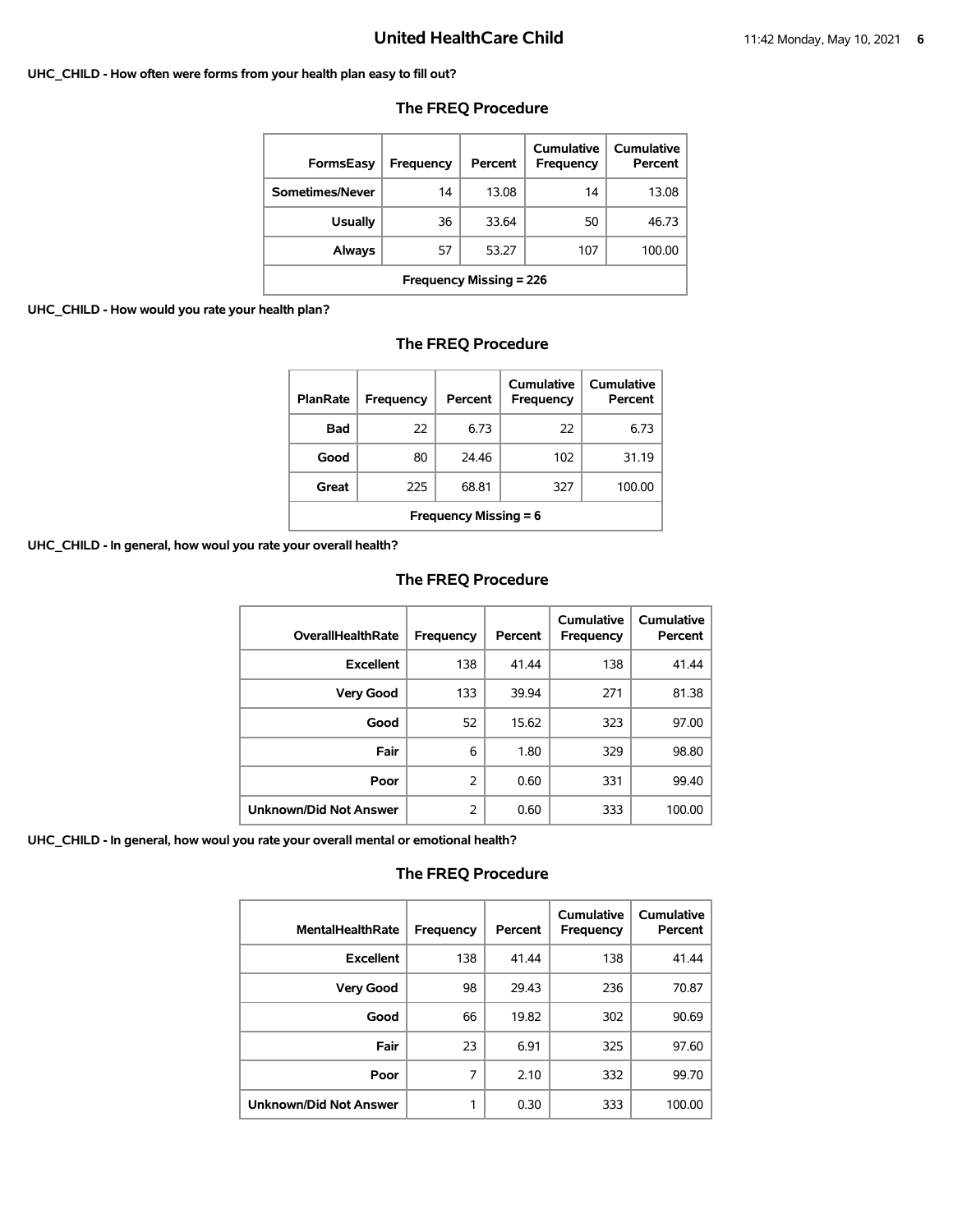#### **UHC\_CHILD - How often were forms from your health plan easy to fill out?**

| FormsEasy                              | Frequency | Percent | Cumulative<br>Frequency | Cumulative<br>Percent |  |  |  |
|----------------------------------------|-----------|---------|-------------------------|-----------------------|--|--|--|
| Sometimes/Never                        | 14        | 13.08   | 14                      | 13.08                 |  |  |  |
| <b>Usually</b>                         | 36        | 33.64   | 50                      | 46.73                 |  |  |  |
| 53.27<br>107<br>100.00<br>Always<br>57 |           |         |                         |                       |  |  |  |
| <b>Frequency Missing = 226</b>         |           |         |                         |                       |  |  |  |

## **The FREQ Procedure**

### **UHC\_CHILD - How would you rate your health plan?**

|  | The FREQ Procedure |
|--|--------------------|
|--|--------------------|

| <b>PlanRate</b>              | <b>Frequency</b> | Percent | Cumulative<br><b>Frequency</b> | Cumulative<br>Percent |  |
|------------------------------|------------------|---------|--------------------------------|-----------------------|--|
| Bad                          | 22               | 6.73    | 22                             | 6.73                  |  |
| Good                         | 80               | 24.46   | 102                            | 31.19                 |  |
| Great                        | 225              | 68.81   | 327                            | 100.00                |  |
| <b>Frequency Missing = 6</b> |                  |         |                                |                       |  |

**UHC\_CHILD - In general, how woul you rate your overall health?**

## **The FREQ Procedure**

| <b>OverallHealthRate</b>      | Frequency | Percent | Cumulative<br>Frequency | <b>Cumulative</b><br>Percent |
|-------------------------------|-----------|---------|-------------------------|------------------------------|
| <b>Excellent</b>              | 138       | 41.44   | 138                     | 41.44                        |
| <b>Very Good</b>              | 133       | 39.94   | 271                     | 81.38                        |
| Good                          | 52        | 15.62   | 323                     | 97.00                        |
| Fair                          | 6         | 1.80    | 329                     | 98.80                        |
| Poor                          | 2         | 0.60    | 331                     | 99.40                        |
| <b>Unknown/Did Not Answer</b> | 2         | 0.60    | 333                     | 100.00                       |

**UHC\_CHILD - In general, how woul you rate your overall mental or emotional health?**

| <b>MentalHealthRate</b>       | Frequency | Percent | Cumulative<br><b>Frequency</b> | Cumulative<br>Percent |
|-------------------------------|-----------|---------|--------------------------------|-----------------------|
| <b>Excellent</b>              | 138       | 41.44   | 138                            | 41.44                 |
| <b>Very Good</b>              | 98        | 29.43   | 236                            | 70.87                 |
| Good                          | 66        | 19.82   | 302                            | 90.69                 |
| Fair                          | 23        | 6.91    | 325                            | 97.60                 |
| Poor                          | 7         | 2.10    | 332                            | 99.70                 |
| <b>Unknown/Did Not Answer</b> | 1         | 0.30    | 333                            | 100.00                |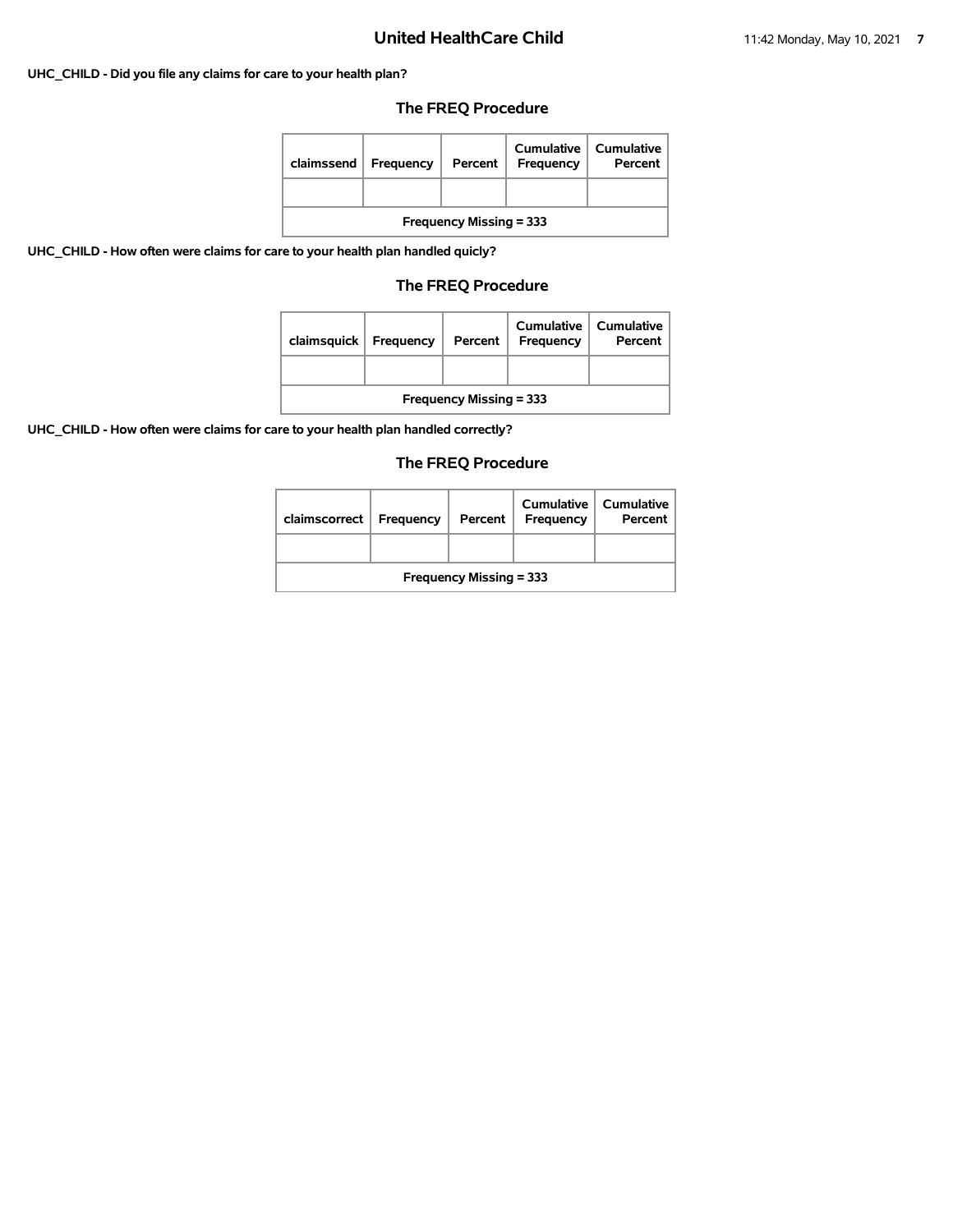## **UHC\_CHILD - Did you file any claims for care to your health plan?**

## **The FREQ Procedure**

| claimssend                     | Frequency | Percent | Cumulative<br>Frequency | Cumulative<br>Percent |  |
|--------------------------------|-----------|---------|-------------------------|-----------------------|--|
|                                |           |         |                         |                       |  |
| <b>Frequency Missing = 333</b> |           |         |                         |                       |  |

**UHC\_CHILD - How often were claims for care to your health plan handled quicly?**

## **The FREQ Procedure**

| claimsquick                    | Frequency | Percent | Cumulative<br>Frequency | Cumulative<br>Percent |  |
|--------------------------------|-----------|---------|-------------------------|-----------------------|--|
|                                |           |         |                         |                       |  |
| <b>Frequency Missing = 333</b> |           |         |                         |                       |  |

**UHC\_CHILD - How often were claims for care to your health plan handled correctly?**

| claimscorrect                  | Frequency | Percent | Cumulative<br>Frequency | Cumulative<br>Percent |  |
|--------------------------------|-----------|---------|-------------------------|-----------------------|--|
|                                |           |         |                         |                       |  |
| <b>Frequency Missing = 333</b> |           |         |                         |                       |  |